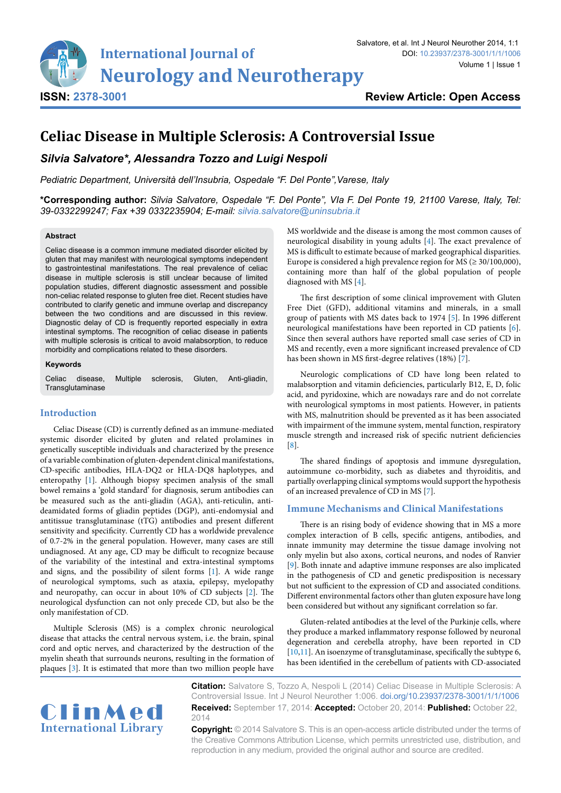

# **Celiac Disease in Multiple Sclerosis: A Controversial Issue**

# *Silvia Salvatore\*, Alessandra Tozzo and Luigi Nespoli*

*Pediatric Department, Università dell'Insubria, Ospedale "F. Del Ponte",Varese, Italy*

**\*Corresponding author:** *Silvia Salvatore, Ospedale "F. Del Ponte", VIa F. Del Ponte 19, 21100 Varese, Italy, Tel: 39-0332299247; Fax +39 0332235904; E-mail: silvia.salvatore@uninsubria.it*

#### **Abstract**

Celiac disease is a common immune mediated disorder elicited by gluten that may manifest with neurological symptoms independent to gastrointestinal manifestations. The real prevalence of celiac disease in multiple sclerosis is still unclear because of limited population studies, different diagnostic assessment and possible non-celiac related response to gluten free diet. Recent studies have contributed to clarify genetic and immune overlap and discrepancy between the two conditions and are discussed in this review. Diagnostic delay of CD is frequently reported especially in extra intestinal symptoms. The recognition of celiac disease in patients with multiple sclerosis is critical to avoid malabsorption, to reduce morbidity and complications related to these disorders.

#### **Keywords**

Celiac disease, Multiple sclerosis, Gluten, Anti-gliadin, **Transglutaminase** 

#### **Introduction**

Celiac Disease (CD) is currently defined as an immune-mediated systemic disorder elicited by gluten and related prolamines in genetically susceptible individuals and characterized by the presence of a variable combination of gluten-dependent clinical manifestations, CD-specific antibodies, HLA-DQ2 or HLA-DQ8 haplotypes, and enteropathy [\[1\]](#page-2-8). Although biopsy specimen analysis of the small bowel remains a 'gold standard' for diagnosis, serum antibodies can be measured such as the anti-gliadin (AGA), anti-reticulin, antideamidated forms of gliadin peptides (DGP), anti-endomysial and antitissue transglutaminase (tTG) antibodies and present different sensitivity and specificity. Currently CD has a worldwide prevalence of 0.7-2% in the general population. However, many cases are still undiagnosed. At any age, CD may be difficult to recognize because of the variability of the intestinal and extra-intestinal symptoms and signs, and the possibility of silent forms [\[1\]](#page-2-8). A wide range of neurological symptoms, such as ataxia, epilepsy, myelopathy and neuropathy, can occur in about 10% of CD subjects [\[2](#page-2-9)]. The neurological dysfunction can not only precede CD, but also be the only manifestation of CD.

Multiple Sclerosis (MS) is a complex chronic neurological disease that attacks the central nervous system, i.e. the brain, spinal cord and optic nerves, and characterized by the destruction of the myelin sheath that surrounds neurons, resulting in the formation of plaques [[3](#page-2-10)]. It is estimated that more than two million people have

MS worldwide and the disease is among the most common causes of neurological disability in young adults [[4](#page-2-0)]. The exact prevalence of MS is difficult to estimate because of marked geographical disparities. Europe is considered a high prevalence region for MS ( $\geq$  30/100,000), containing more than half of the global population of people diagnosed with MS [\[4](#page-2-0)].

The first description of some clinical improvement with Gluten Free Diet (GFD), additional vitamins and minerals, in a small group of patients with MS dates back to 1974 [[5](#page-2-1)]. In 1996 different neurological manifestations have been reported in CD patients [\[6\]](#page-2-2). Since then several authors have reported small case series of CD in MS and recently, even a more significant increased prevalence of CD has been shown in MS first-degree relatives (18%) [\[7\]](#page-2-3).

Neurologic complications of CD have long been related to malabsorption and vitamin deficiencies, particularly B12, E, D, folic acid, and pyridoxine, which are nowadays rare and do not correlate with neurological symptoms in most patients. However, in patients with MS, malnutrition should be prevented as it has been associated with impairment of the immune system, mental function, respiratory muscle strength and increased risk of specific nutrient deficiencies [[8](#page-2-4)].

The shared findings of apoptosis and immune dysregulation, autoimmune co-morbidity, such as diabetes and thyroiditis, and partially overlapping clinical symptoms would support the hypothesis of an increased prevalence of CD in MS [[7\]](#page-2-3).

#### **Immune Mechanisms and Clinical Manifestations**

There is an rising body of evidence showing that in MS a more complex interaction of B cells, specific antigens, antibodies, and innate immunity may determine the tissue damage involving not only myelin but also axons, cortical neurons, and nodes of Ranvier [[9](#page-2-5)]. Both innate and adaptive immune responses are also implicated in the pathogenesis of CD and genetic predisposition is necessary but not sufficient to the expression of CD and associated conditions. Different environmental factors other than gluten exposure have long been considered but without any significant correlation so far.

Gluten-related antibodies at the level of the Purkinje cells, where they produce a marked inflammatory response followed by neuronal degeneration and cerebella atrophy, have been reported in CD [[10](#page-2-6),[11](#page-2-7)]. An isoenzyme of transglutaminase, specifically the subtype 6, has been identified in the cerebellum of patients with CD-associated



**Citation:** Salvatore S, Tozzo A, Nespoli L (2014) Celiac Disease in Multiple Sclerosis: A Controversial Issue. Int J Neurol Neurother 1:006. [doi.org/10.23937/2378-3001/1/1/100](https://doi.org/10.23937/2378-3001/1/1/1006)6 **Received:** September 17, 2014: **Accepted:** October 20, 2014: **Published:** October 22, 2014

**Copyright:** © 2014 Salvatore S. This is an open-access article distributed under the terms of the Creative Commons Attribution License, which permits unrestricted use, distribution, and reproduction in any medium, provided the original author and source are credited.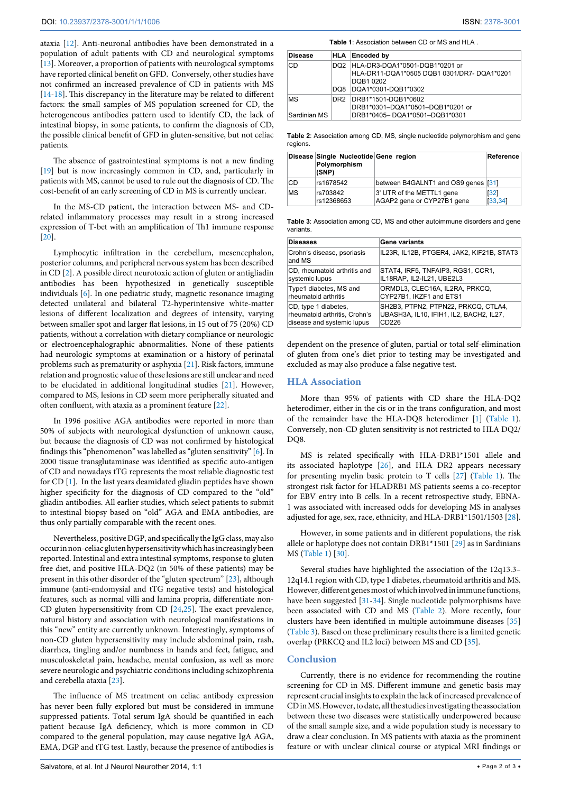ataxia [\[12\]](#page-2-11). Anti-neuronal antibodies have been demonstrated in a population of adult patients with CD and neurological symptoms [[13](#page-2-12)]. Moreover, a proportion of patients with neurological symptoms have reported clinical benefit on GFD. Conversely, other studies have not confirmed an increased prevalence of CD in patients with MS [[14](#page-2-13)[-18](#page-2-14)]. This discrepancy in the literature may be related to different factors: the small samples of MS population screened for CD, the heterogeneous antibodies pattern used to identify CD, the lack of intestinal biopsy, in some patients, to confirm the diagnosis of CD, the possible clinical benefit of GFD in gluten-sensitive, but not celiac patients.

The absence of gastrointestinal symptoms is not a new finding [[19](#page-2-15)] but is now increasingly common in CD, and, particularly in patients with MS, cannot be used to rule out the diagnosis of CD. The cost-benefit of an early screening of CD in MS is currently unclear.

In the MS-CD patient, the interaction between MS- and CDrelated inflammatory processes may result in a strong increased expression of T-bet with an amplification of Th1 immune response [[20](#page-2-16)].

Lymphocytic infiltration in the cerebellum, mesencephalon, posterior columns, and peripheral nervous system has been described in CD [\[2\]](#page-2-9). A possible direct neurotoxic action of gluten or antigliadin antibodies has been hypothesized in genetically susceptible individuals [\[6\]](#page-2-2). In one pediatric study, magnetic resonance imaging detected unilateral and bilateral T2-hyperintensive white-matter lesions of different localization and degrees of intensity, varying between smaller spot and larger flat lesions, in 15 out of 75 (20%) CD patients, without a correlation with dietary compliance or neurologic or electroencephalographic abnormalities. None of these patients had neurologic symptoms at examination or a history of perinatal problems such as prematurity or asphyxia [\[21\]](#page-2-17). Risk factors, immune relation and prognostic value of these lesions are still unclear and need to be elucidated in additional longitudinal studies [\[21\]](#page-2-17). However, compared to MS, lesions in CD seem more peripherally situated and often confluent, with ataxia as a prominent feature [[22](#page-2-18)].

In 1996 positive AGA antibodies were reported in more than 50% of subjects with neurological dysfunction of unknown cause, but because the diagnosis of CD was not confirmed by histological findings this "phenomenon" was labelled as "gluten sensitivity" [\[6\]](#page-2-2). In 2000 tissue transglutaminase was identified as specific auto-antigen of CD and nowadays tTG represents the most reliable diagnostic test for CD [[1](#page-2-8)]. In the last years deamidated gliadin peptides have shown higher specificity for the diagnosis of CD compared to the "old" gliadin antibodies. All earlier studies, which select patients to submit to intestinal biopsy based on "old" AGA and EMA antibodies, are thus only partially comparable with the recent ones.

Nevertheless, positive DGP, and specifically the IgG class, may also occur in non-celiac gluten hypersensitivity which has increasingly been reported. Intestinal and extra intestinal symptoms, response to gluten free diet, and positive HLA-DQ2 (in 50% of these patients) may be present in this other disorder of the "gluten spectrum" [[23](#page-2-19)], although immune (anti-endomysial and tTG negative tests) and histological features, such as normal villi and lamina propria, differentiate non-CD gluten hypersensitivity from CD [\[24,](#page-2-20)[25](#page-2-21)]. The exact prevalence, natural history and association with neurological manifestations in this "new" entity are currently unknown. Interestingly, symptoms of non-CD gluten hypersensitivity may include abdominal pain, rash, diarrhea, tingling and/or numbness in hands and feet, fatigue, and musculoskeletal pain, headache, mental confusion, as well as more severe neurologic and psychiatric conditions including schizophrenia and cerebella ataxia [\[23\]](#page-2-19).

The influence of MS treatment on celiac antibody expression has never been fully explored but must be considered in immune suppressed patients. Total serum IgA should be quantified in each patient because IgA deficiency, which is more common in CD compared to the general population, may cause negative IgA AGA, EMA, DGP and tTG test. Lastly, because the presence of antibodies is <span id="page-1-0"></span>**Table 1**: Association between CD or MS and HLA .

| <b>Disease</b>     |      | HLA Encoded by                                                                                                       |  |
|--------------------|------|----------------------------------------------------------------------------------------------------------------------|--|
| CD                 | DO8. | DQ2 HLA-DR3-DQA1*0501-DQB1*0201 or<br>HLA-DR11-DQA1*0505 DQB1 0301/DR7-DQA1*0201<br>DQB1 0202<br>DQA1*0301-DQB1*0302 |  |
| MS<br>Sardinian MS | DR2  | DRB1*1501-DQB1*0602<br>DRB1*0301-DQA1*0501-DQB1*0201 or<br>DRB1*0405-DQA1*0501-DQB1*0301                             |  |

<span id="page-1-1"></span>**Table 2**: Association among CD, MS, single nucleotide polymorphism and gene regions.

|    | Disease Single Nucleotide Gene region<br>Polymorphism<br>(SNP) |                                                         | Reference        |
|----|----------------------------------------------------------------|---------------------------------------------------------|------------------|
| CD | rs1678542                                                      | between B4GALNT1 and OS9 genes [31]                     |                  |
| MS | rs703842<br>rs12368653                                         | 3' UTR of the METTL1 gene<br>AGAP2 gene or CYP27B1 gene | [32]<br>[33, 34] |

<span id="page-1-2"></span>**Table 3**: Association among CD, MS and other autoimmune disorders and gene variants.

| <b>Diseases</b>                      | Gene variants                             |  |
|--------------------------------------|-------------------------------------------|--|
| Crohn's disease, psoriasis<br>and MS | IL23R, IL12B, PTGER4, JAK2, KIF21B, STAT3 |  |
| CD, rheumatoid arthritis and         | STAT4, IRF5, TNFAIP3, RGS1, CCR1,         |  |
| systemic lupus                       | IL18RAP, IL2-IL21, UBE2L3                 |  |
| Type1 diabetes, MS and               | ORMDL3, CLEC16A, IL2RA, PRKCQ,            |  |
| rheumatoid arthritis                 | CYP27B1, IKZF1 and ETS1                   |  |
| CD, type 1 diabetes,                 | SH2B3, PTPN2, PTPN22, PRKCQ, CTLA4,       |  |
| rheumatoid arthritis, Crohn's        | UBASH3A, IL10, IFIH1, IL2, BACH2, IL27,   |  |
| disease and systemic lupus           | CD226                                     |  |

dependent on the presence of gluten, partial or total self-elimination of gluten from one's diet prior to testing may be investigated and excluded as may also produce a false negative test.

### **HLA Association**

More than 95% of patients with CD share the HLA-DQ2 heterodimer, either in the cis or in the trans configuration, and most of the remainder have the HLA-DQ8 heterodimer [\[1\]](#page-2-8) [\(Table 1\)](#page-1-0). Conversely, non-CD gluten sensitivity is not restricted to HLA DQ2/ DO8.

MS is related specifically with HLA-DRB1\*1501 allele and its associated haplotype [[26](#page-2-22)], and HLA DR2 appears necessary for presenting myelin basic protein to T cells [[27](#page-2-23)] [\(Table 1](#page-1-0)). The strongest risk factor for HLADRB1 MS patients seems a co-receptor for EBV entry into B cells. In a recent retrospective study, EBNA-1 was associated with increased odds for developing MS in analyses adjusted for age, sex, race, ethnicity, and HLA-DRB1\*1501/1503 [[28\]](#page-2-24).

However, in some patients and in different populations, the risk allele or haplotype does not contain DRB1\*1501 [\[29](#page-2-25)] as in Sardinians MS [\(Table 1\)](#page-1-0) [[30\]](#page-2-26).

Several studies have highlighted the association of the 12q13.3– 12q14.1 region with CD, type 1 diabetes, rheumatoid arthritis and MS. However, different genes most of which involved in immune functions, have been suggested [[31-](#page-2-27)[34](#page-2-28)]. Single nucleotide polymorphisms have been associated with CD and MS ([Table 2](#page-1-1)). More recently, four clusters have been identified in multiple autoimmune diseases [\[35\]](#page-2-29) ([Table 3](#page-1-2)). Based on these preliminary results there is a limited genetic overlap (PRKCQ and IL2 loci) between MS and CD [\[35\]](#page-2-29).

## **Conclusion**

Currently, there is no evidence for recommending the routine screening for CD in MS. Different immune and genetic basis may represent crucial insights to explain the lack of increased prevalence of CD in MS. However, to date, all the studies investigating the association between these two diseases were statistically underpowered because of the small sample size, and a wide population study is necessary to draw a clear conclusion. In MS patients with ataxia as the prominent feature or with unclear clinical course or atypical MRI findings or